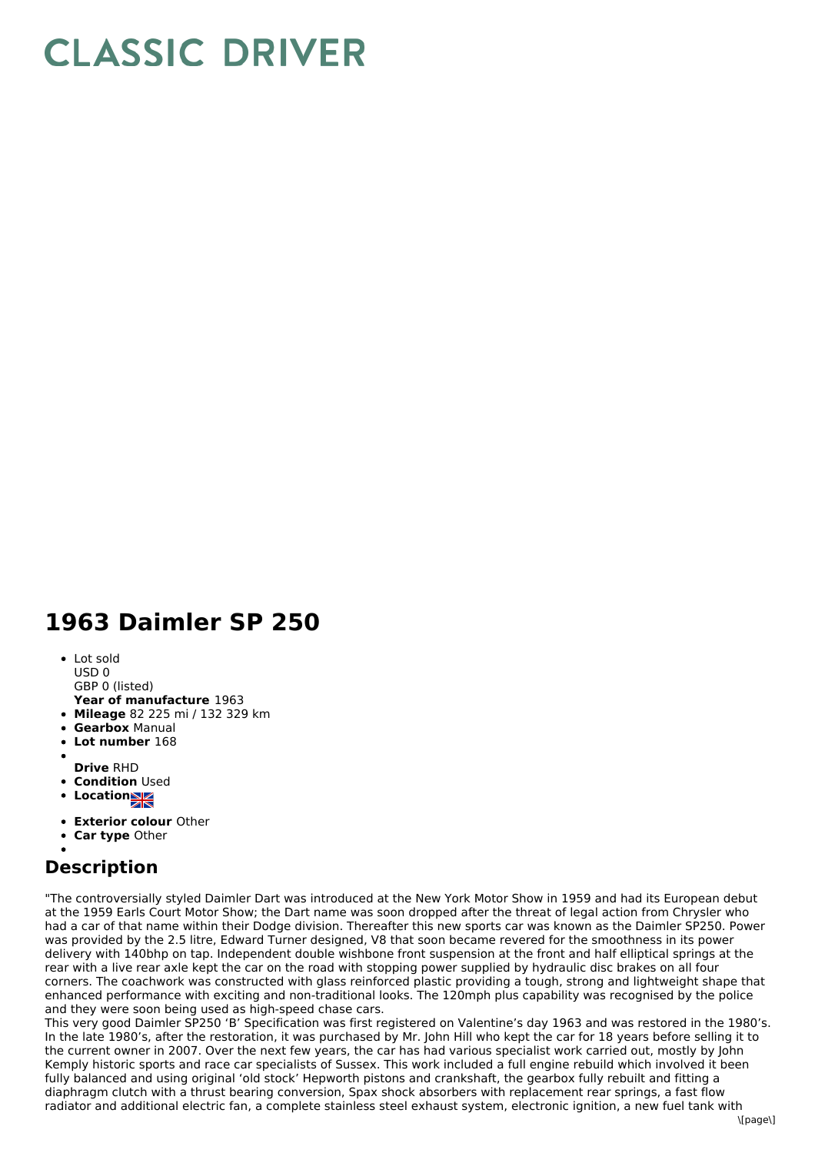## **CLASSIC DRIVER**

## **1963 Daimler SP 250**

- Lot sold USD 0
- GBP 0 (listed)
- **Year of manufacture** 1963
- **Mileage** 82 225 mi / 132 329 km
- **Gearbox** Manual
- **Lot number** 168
- 
- **Drive** RHD
- **Condition Used**
- **Locations**
- **Exterior colour** Other
- **Car type** Other

## **Description**

"The controversially styled Daimler Dart was introduced at the New York Motor Show in 1959 and had its European debut at the 1959 Earls Court Motor Show; the Dart name was soon dropped after the threat of legal action from Chrysler who had a car of that name within their Dodge division. Thereafter this new sports car was known as the Daimler SP250. Power was provided by the 2.5 litre, Edward Turner designed, V8 that soon became revered for the smoothness in its power delivery with 140bhp on tap. Independent double wishbone front suspension at the front and half elliptical springs at the rear with a live rear axle kept the car on the road with stopping power supplied by hydraulic disc brakes on all four corners. The coachwork was constructed with glass reinforced plastic providing a tough, strong and lightweight shape that enhanced performance with exciting and non-traditional looks. The 120mph plus capability was recognised by the police and they were soon being used as high-speed chase cars.

This very good Daimler SP250 'B' Specification was first registered on Valentine's day 1963 and was restored in the 1980's. In the late 1980's, after the restoration, it was purchased by Mr. John Hill who kept the car for 18 years before selling it to the current owner in 2007. Over the next few years, the car has had various specialist work carried out, mostly by John Kemply historic sports and race car specialists of Sussex. This work included a full engine rebuild which involved it been fully balanced and using original 'old stock' Hepworth pistons and crankshaft, the gearbox fully rebuilt and fitting a diaphragm clutch with a thrust bearing conversion, Spax shock absorbers with replacement rear springs, a fast flow radiator and additional electric fan, a complete stainless steel exhaust system, electronic ignition, a new fuel tank with